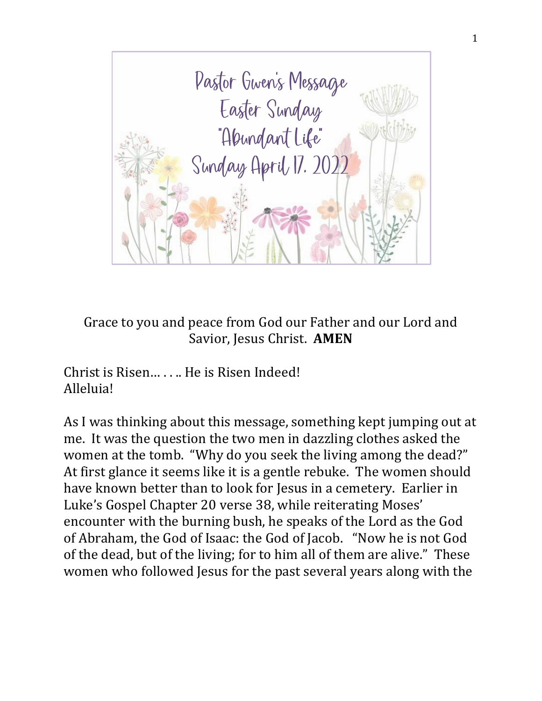

Grace to you and peace from God our Father and our Lord and Savior, Jesus Christ. **AMEN**

Christ is Risen… . . .. He is Risen Indeed! Alleluia!

As I was thinking about this message, something kept jumping out at me. It was the question the two men in dazzling clothes asked the women at the tomb. "Why do you seek the living among the dead?" At first glance it seems like it is a gentle rebuke. The women should have known better than to look for Jesus in a cemetery. Earlier in Luke's Gospel Chapter 20 verse 38, while reiterating Moses' encounter with the burning bush, he speaks of the Lord as the God of Abraham, the God of Isaac: the God of Jacob. "Now he is not God of the dead, but of the living; for to him all of them are alive." These women who followed Jesus for the past several years along with the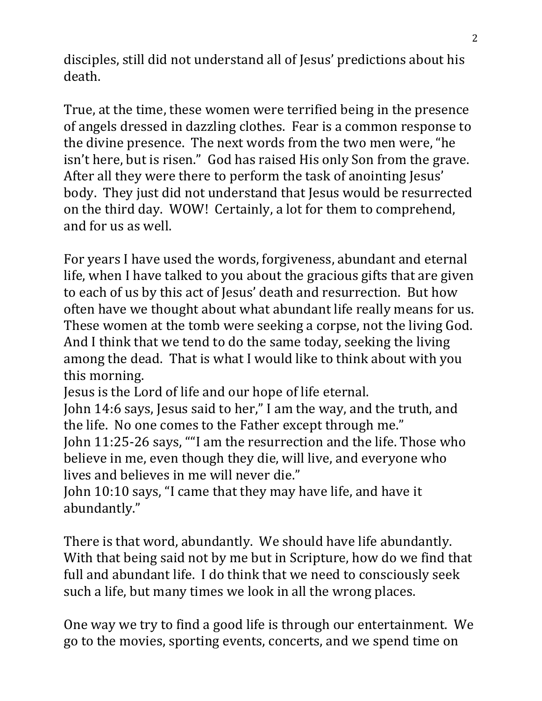disciples, still did not understand all of Jesus' predictions about his death.

True, at the time, these women were terrified being in the presence of angels dressed in dazzling clothes. Fear is a common response to the divine presence. The next words from the two men were, "he isn't here, but is risen." God has raised His only Son from the grave. After all they were there to perform the task of anointing Jesus' body. They just did not understand that Jesus would be resurrected on the third day. WOW! Certainly, a lot for them to comprehend, and for us as well.

For years I have used the words, forgiveness, abundant and eternal life, when I have talked to you about the gracious gifts that are given to each of us by this act of Jesus' death and resurrection. But how often have we thought about what abundant life really means for us. These women at the tomb were seeking a corpse, not the living God. And I think that we tend to do the same today, seeking the living among the dead. That is what I would like to think about with you this morning.

Jesus is the Lord of life and our hope of life eternal.

John 14:6 says, Jesus said to her," I am the way, and the truth, and the life. No one comes to the Father except through me."

John 11:25-26 says, ""I am the resurrection and the life. Those who believe in me, even though they die, will live, and everyone who lives and believes in me will never die."

John 10:10 says, "I came that they may have life, and have it abundantly."

There is that word, abundantly. We should have life abundantly. With that being said not by me but in Scripture, how do we find that full and abundant life. I do think that we need to consciously seek such a life, but many times we look in all the wrong places.

One way we try to find a good life is through our entertainment. We go to the movies, sporting events, concerts, and we spend time on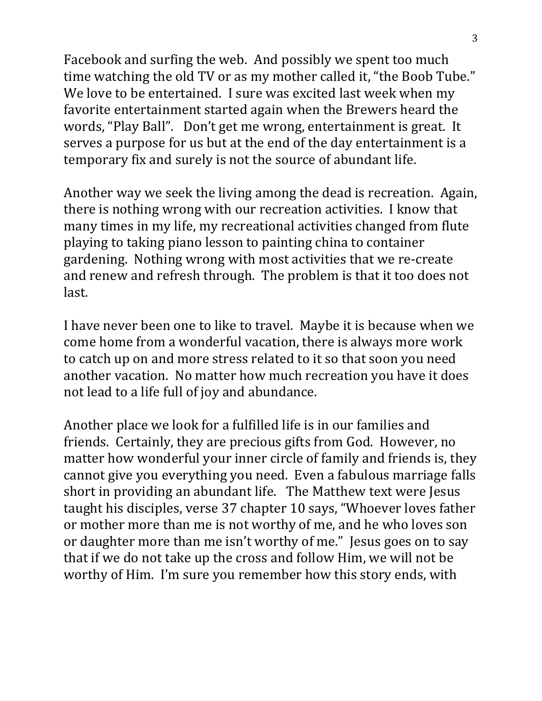Facebook and surfing the web. And possibly we spent too much time watching the old TV or as my mother called it, "the Boob Tube." We love to be entertained. I sure was excited last week when my favorite entertainment started again when the Brewers heard the words, "Play Ball". Don't get me wrong, entertainment is great. It serves a purpose for us but at the end of the day entertainment is a temporary fix and surely is not the source of abundant life.

Another way we seek the living among the dead is recreation. Again, there is nothing wrong with our recreation activities. I know that many times in my life, my recreational activities changed from flute playing to taking piano lesson to painting china to container gardening. Nothing wrong with most activities that we re-create and renew and refresh through. The problem is that it too does not last.

I have never been one to like to travel. Maybe it is because when we come home from a wonderful vacation, there is always more work to catch up on and more stress related to it so that soon you need another vacation. No matter how much recreation you have it does not lead to a life full of joy and abundance.

Another place we look for a fulfilled life is in our families and friends. Certainly, they are precious gifts from God. However, no matter how wonderful your inner circle of family and friends is, they cannot give you everything you need. Even a fabulous marriage falls short in providing an abundant life. The Matthew text were Jesus taught his disciples, verse 37 chapter 10 says, "Whoever loves father or mother more than me is not worthy of me, and he who loves son or daughter more than me isn't worthy of me." Jesus goes on to say that if we do not take up the cross and follow Him, we will not be worthy of Him. I'm sure you remember how this story ends, with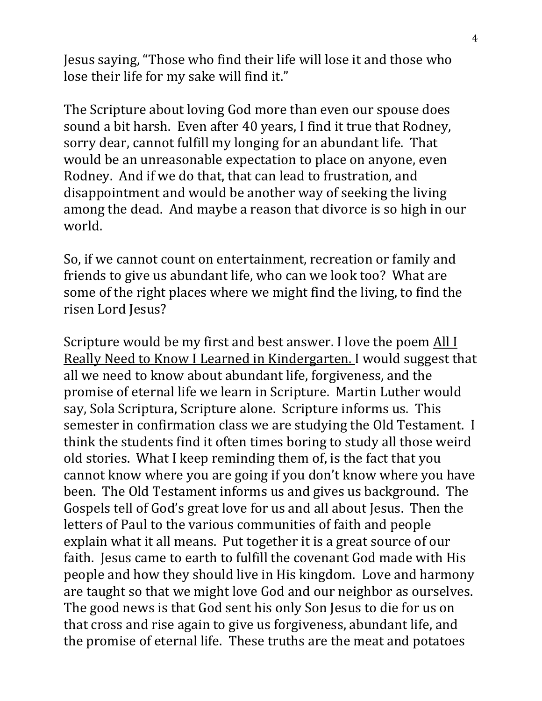Jesus saying, "Those who find their life will lose it and those who lose their life for my sake will find it."

The Scripture about loving God more than even our spouse does sound a bit harsh. Even after 40 years, I find it true that Rodney, sorry dear, cannot fulfill my longing for an abundant life. That would be an unreasonable expectation to place on anyone, even Rodney. And if we do that, that can lead to frustration, and disappointment and would be another way of seeking the living among the dead. And maybe a reason that divorce is so high in our world.

So, if we cannot count on entertainment, recreation or family and friends to give us abundant life, who can we look too? What are some of the right places where we might find the living, to find the risen Lord Jesus?

Scripture would be my first and best answer. I love the poem All I Really Need to Know I Learned in Kindergarten. I would suggest that all we need to know about abundant life, forgiveness, and the promise of eternal life we learn in Scripture. Martin Luther would say, Sola Scriptura, Scripture alone. Scripture informs us. This semester in confirmation class we are studying the Old Testament. I think the students find it often times boring to study all those weird old stories. What I keep reminding them of, is the fact that you cannot know where you are going if you don't know where you have been. The Old Testament informs us and gives us background. The Gospels tell of God's great love for us and all about Jesus. Then the letters of Paul to the various communities of faith and people explain what it all means. Put together it is a great source of our faith. Jesus came to earth to fulfill the covenant God made with His people and how they should live in His kingdom. Love and harmony are taught so that we might love God and our neighbor as ourselves. The good news is that God sent his only Son Jesus to die for us on that cross and rise again to give us forgiveness, abundant life, and the promise of eternal life. These truths are the meat and potatoes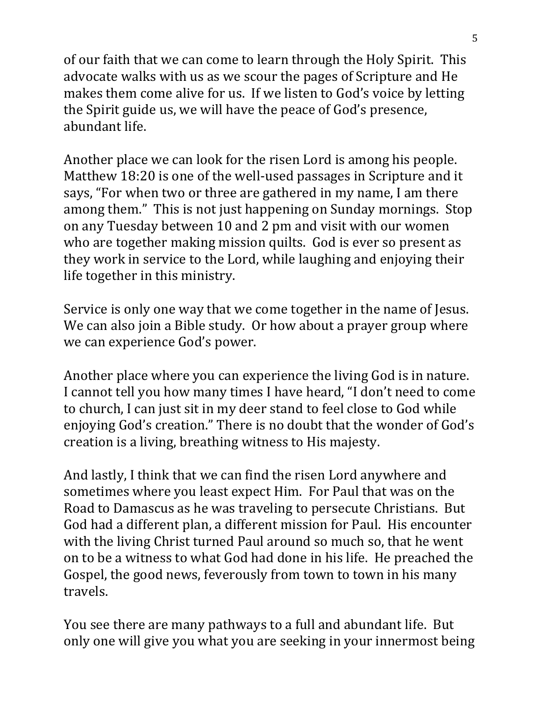of our faith that we can come to learn through the Holy Spirit. This advocate walks with us as we scour the pages of Scripture and He makes them come alive for us. If we listen to God's voice by letting the Spirit guide us, we will have the peace of God's presence, abundant life.

Another place we can look for the risen Lord is among his people. Matthew 18:20 is one of the well-used passages in Scripture and it says, "For when two or three are gathered in my name, I am there among them." This is not just happening on Sunday mornings. Stop on any Tuesday between 10 and 2 pm and visit with our women who are together making mission quilts. God is ever so present as they work in service to the Lord, while laughing and enjoying their life together in this ministry.

Service is only one way that we come together in the name of Jesus. We can also join a Bible study. Or how about a prayer group where we can experience God's power.

Another place where you can experience the living God is in nature. I cannot tell you how many times I have heard, "I don't need to come to church, I can just sit in my deer stand to feel close to God while enjoying God's creation." There is no doubt that the wonder of God's creation is a living, breathing witness to His majesty.

And lastly, I think that we can find the risen Lord anywhere and sometimes where you least expect Him. For Paul that was on the Road to Damascus as he was traveling to persecute Christians. But God had a different plan, a different mission for Paul. His encounter with the living Christ turned Paul around so much so, that he went on to be a witness to what God had done in his life. He preached the Gospel, the good news, feverously from town to town in his many travels.

You see there are many pathways to a full and abundant life. But only one will give you what you are seeking in your innermost being